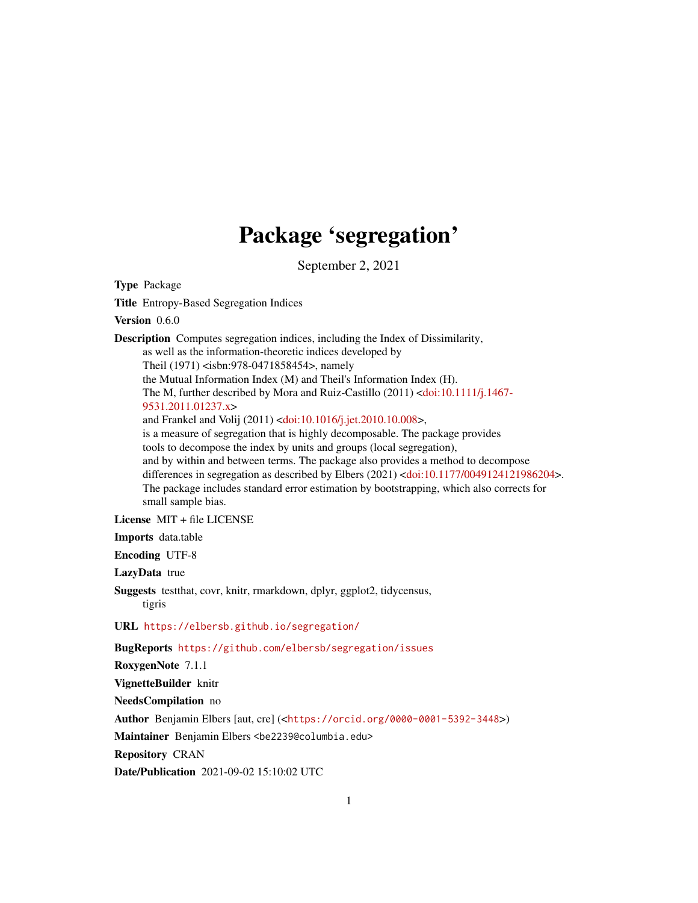# Package 'segregation'

September 2, 2021

Type Package

Title Entropy-Based Segregation Indices

Version 0.6.0

Description Computes segregation indices, including the Index of Dissimilarity, as well as the information-theoretic indices developed by Theil (1971) <isbn:978-0471858454>, namely the Mutual Information Index (M) and Theil's Information Index (H). The M, further described by Mora and Ruiz-Castillo (2011) [<doi:10.1111/j.1467-](https://doi.org/10.1111/j.1467-9531.2011.01237.x) [9531.2011.01237.x>](https://doi.org/10.1111/j.1467-9531.2011.01237.x) and Frankel and Volij (2011) [<doi:10.1016/j.jet.2010.10.008>](https://doi.org/10.1016/j.jet.2010.10.008), is a measure of segregation that is highly decomposable. The package provides tools to decompose the index by units and groups (local segregation), and by within and between terms. The package also provides a method to decompose differences in segregation as described by Elbers (2021) [<doi:10.1177/0049124121986204>](https://doi.org/10.1177/0049124121986204). The package includes standard error estimation by bootstrapping, which also corrects for small sample bias.

License MIT + file LICENSE

Imports data.table

Encoding UTF-8

LazyData true

Suggests testthat, covr, knitr, rmarkdown, dplyr, ggplot2, tidycensus, tigris

URL <https://elbersb.github.io/segregation/>

BugReports <https://github.com/elbersb/segregation/issues>

RoxygenNote 7.1.1

VignetteBuilder knitr

NeedsCompilation no

Author Benjamin Elbers [aut, cre] (<<https://orcid.org/0000-0001-5392-3448>>)

Maintainer Benjamin Elbers <be2239@columbia.edu>

Repository CRAN

Date/Publication 2021-09-02 15:10:02 UTC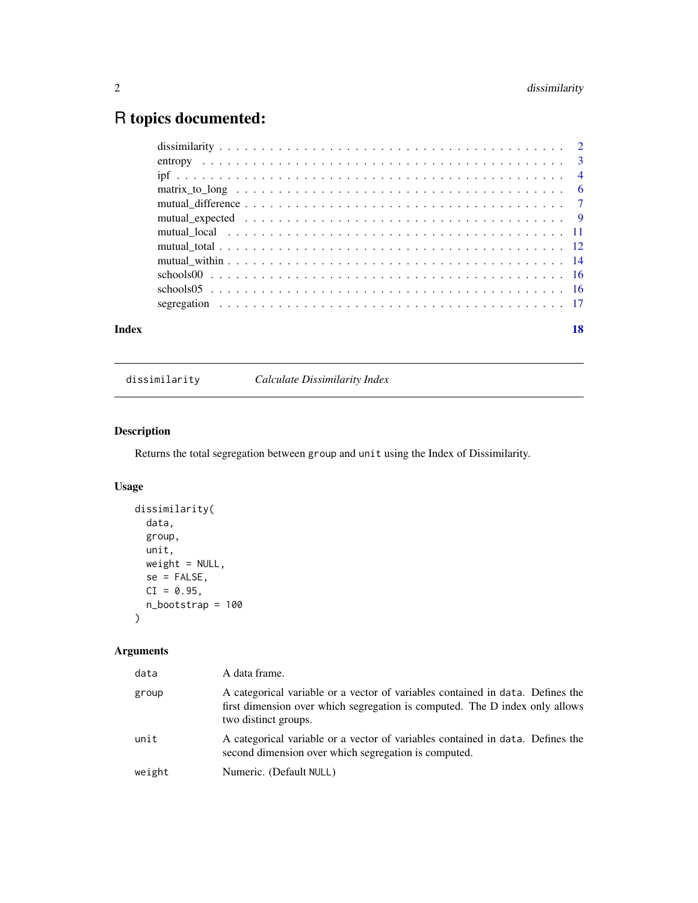# <span id="page-1-0"></span>R topics documented:

| Index | 18 |
|-------|----|

# dissimilarity *Calculate Dissimilarity Index*

# Description

Returns the total segregation between group and unit using the Index of Dissimilarity.

# Usage

```
dissimilarity(
 data,
 group,
 unit,
 weight = NULL,se = FALSE,CI = 0.95,n_bootstrap = 100
\mathcal{L}
```

| data   | A data frame.                                                                                                                                                                         |
|--------|---------------------------------------------------------------------------------------------------------------------------------------------------------------------------------------|
| group  | A categorical variable or a vector of variables contained in data. Defines the<br>first dimension over which segregation is computed. The D index only allows<br>two distinct groups. |
| unit   | A categorical variable or a vector of variables contained in data. Defines the<br>second dimension over which segregation is computed.                                                |
| weight | Numeric. (Default NULL)                                                                                                                                                               |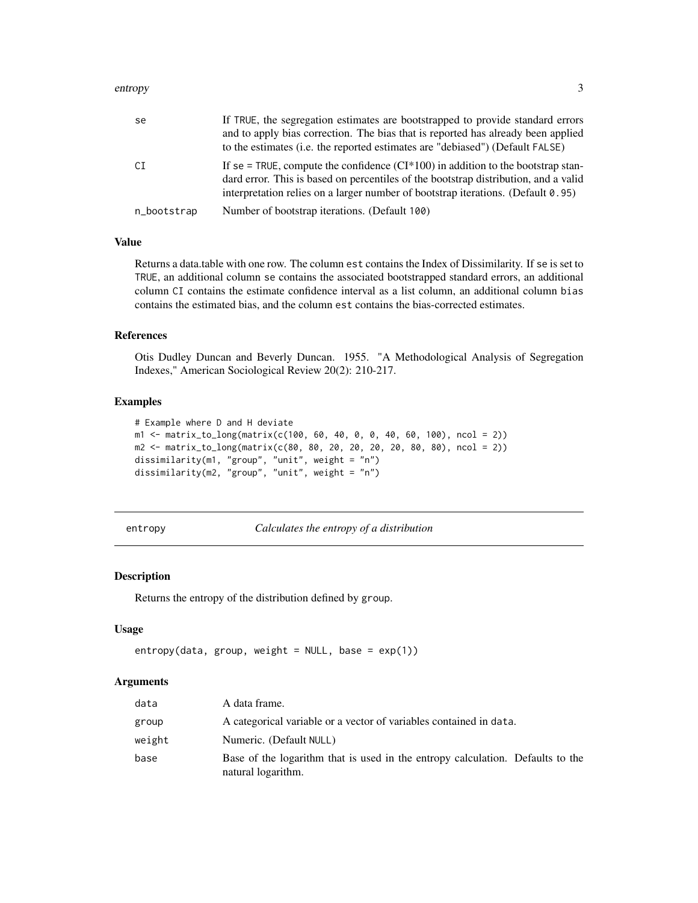#### <span id="page-2-0"></span>entropy 3

| se          | If TRUE, the segregation estimates are bootstrapped to provide standard errors<br>and to apply bias correction. The bias that is reported has already been applied<br>to the estimates (i.e. the reported estimates are "debiased") (Default FALSE)               |
|-------------|-------------------------------------------------------------------------------------------------------------------------------------------------------------------------------------------------------------------------------------------------------------------|
| CI          | If se = TRUE, compute the confidence $(CI^*100)$ in addition to the bootstrap stan-<br>dard error. This is based on percentiles of the bootstrap distribution, and a valid<br>interpretation relies on a larger number of bootstrap iterations. (Default $0.95$ ) |
| n_bootstrap | Number of bootstrap iterations. (Default 100)                                                                                                                                                                                                                     |

# Value

Returns a data.table with one row. The column est contains the Index of Dissimilarity. If se is set to TRUE, an additional column se contains the associated bootstrapped standard errors, an additional column CI contains the estimate confidence interval as a list column, an additional column bias contains the estimated bias, and the column est contains the bias-corrected estimates.

#### References

Otis Dudley Duncan and Beverly Duncan. 1955. "A Methodological Analysis of Segregation Indexes," American Sociological Review 20(2): 210-217.

# Examples

```
# Example where D and H deviate
m1 <- matrix_to_long(matrix(c(100, 60, 40, 0, 0, 40, 60, 100), ncol = 2))
m2 <- matrix_to_long(matrix(c(80, 80, 20, 20, 20, 20, 80, 80), ncol = 2))
dissimilarity(m1, "group", "unit", weight = "n")
dissimilarity(m2, "group", "unit", weight = "n")
```
entropy *Calculates the entropy of a distribution*

#### Description

Returns the entropy of the distribution defined by group.

#### Usage

```
entropy(data, group, weight = NULL, base = exp(1))
```

| data   | A data frame.                                                                                        |
|--------|------------------------------------------------------------------------------------------------------|
| group  | A categorical variable or a vector of variables contained in data.                                   |
| weight | Numeric. (Default NULL)                                                                              |
| base   | Base of the logarithm that is used in the entropy calculation. Defaults to the<br>natural logarithm. |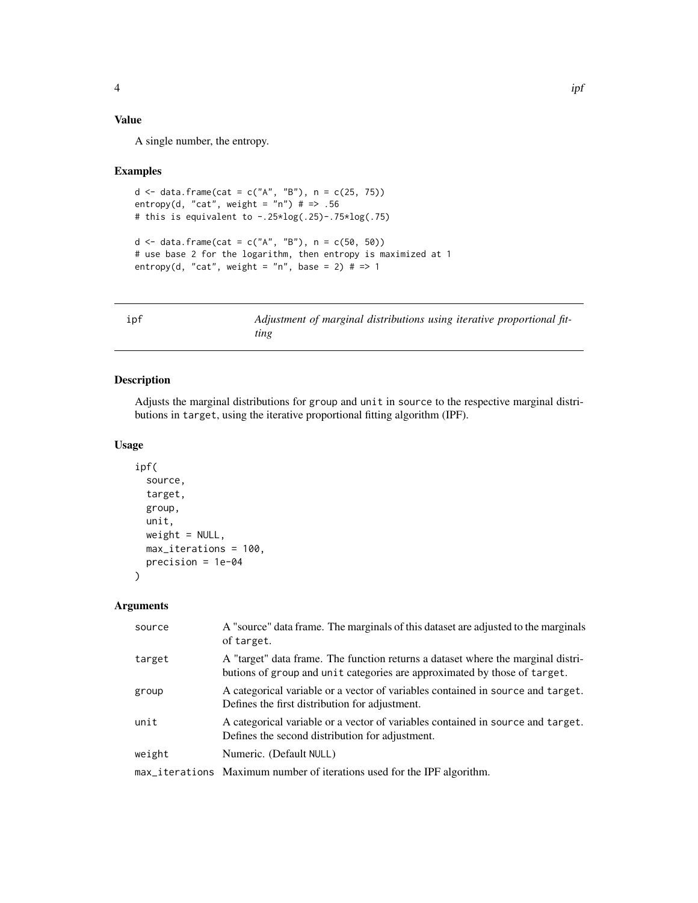# <span id="page-3-0"></span>Value

A single number, the entropy.

#### Examples

```
d <- data.frame(cat = c("A", "B"), n = c(25, 75))
entropy(d, "cat", weight = "n") # = > .56
# this is equivalent to -.25*log(.25)-.75*log(.75)
d <- data.frame(cat = c("A", "B"), n = c(50, 50))
# use base 2 for the logarithm, then entropy is maximized at 1
entropy(d, "cat", weight = "n", base = 2) # = > 1
```
<span id="page-3-1"></span>ipf *Adjustment of marginal distributions using iterative proportional fitting*

# Description

Adjusts the marginal distributions for group and unit in source to the respective marginal distributions in target, using the iterative proportional fitting algorithm (IPF).

# Usage

```
ipf(
  source,
  target,
  group,
 unit,
 weight = NULL,max_iterations = 100,
 precision = 1e-04
```
#### Arguments

)

| source | A "source" data frame. The marginals of this dataset are adjusted to the marginals<br>of target.                                                              |
|--------|---------------------------------------------------------------------------------------------------------------------------------------------------------------|
| target | A "target" data frame. The function returns a dataset where the marginal distri-<br>butions of group and unit categories are approximated by those of target. |
| group  | A categorical variable or a vector of variables contained in source and target.<br>Defines the first distribution for adjustment.                             |
| unit   | A categorical variable or a vector of variables contained in source and target.<br>Defines the second distribution for adjustment.                            |
| weight | Numeric. (Default NULL)                                                                                                                                       |
|        | max_iterations Maximum number of iterations used for the IPF algorithm.                                                                                       |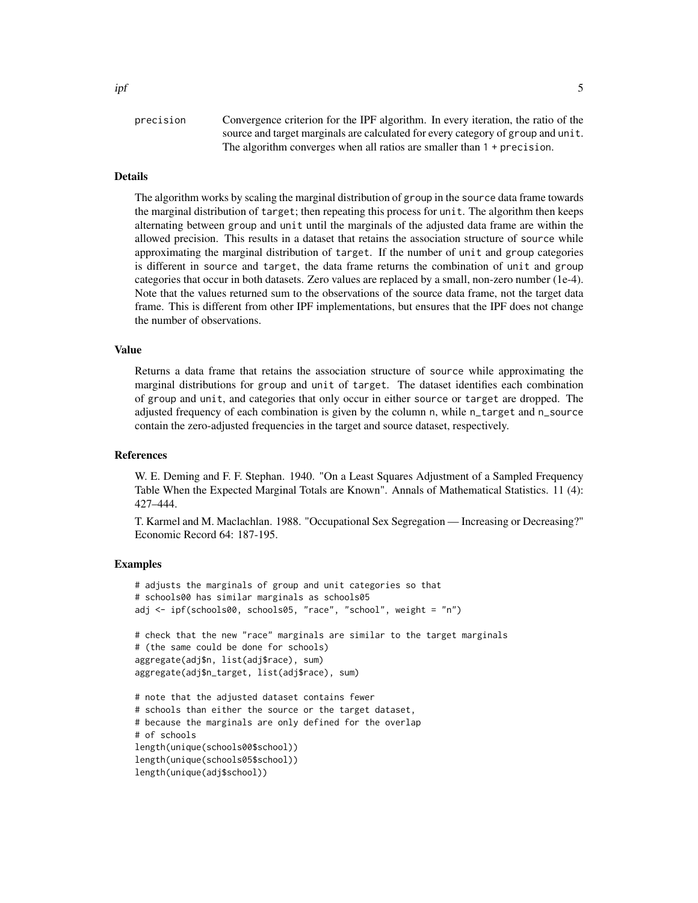# Details

The algorithm works by scaling the marginal distribution of group in the source data frame towards the marginal distribution of target; then repeating this process for unit. The algorithm then keeps alternating between group and unit until the marginals of the adjusted data frame are within the allowed precision. This results in a dataset that retains the association structure of source while approximating the marginal distribution of target. If the number of unit and group categories is different in source and target, the data frame returns the combination of unit and group categories that occur in both datasets. Zero values are replaced by a small, non-zero number (1e-4). Note that the values returned sum to the observations of the source data frame, not the target data frame. This is different from other IPF implementations, but ensures that the IPF does not change the number of observations.

# Value

Returns a data frame that retains the association structure of source while approximating the marginal distributions for group and unit of target. The dataset identifies each combination of group and unit, and categories that only occur in either source or target are dropped. The adjusted frequency of each combination is given by the column n, while n\_target and n\_source contain the zero-adjusted frequencies in the target and source dataset, respectively.

#### References

W. E. Deming and F. F. Stephan. 1940. "On a Least Squares Adjustment of a Sampled Frequency Table When the Expected Marginal Totals are Known". Annals of Mathematical Statistics. 11 (4): 427–444.

T. Karmel and M. Maclachlan. 1988. "Occupational Sex Segregation — Increasing or Decreasing?" Economic Record 64: 187-195.

```
# adjusts the marginals of group and unit categories so that
# schools00 has similar marginals as schools05
adj <- ipf(schools00, schools05, "race", "school", weight = "n")
# check that the new "race" marginals are similar to the target marginals
# (the same could be done for schools)
aggregate(adj$n, list(adj$race), sum)
aggregate(adj$n_target, list(adj$race), sum)
# note that the adjusted dataset contains fewer
# schools than either the source or the target dataset,
# because the marginals are only defined for the overlap
# of schools
length(unique(schools00$school))
length(unique(schools05$school))
length(unique(adj$school))
```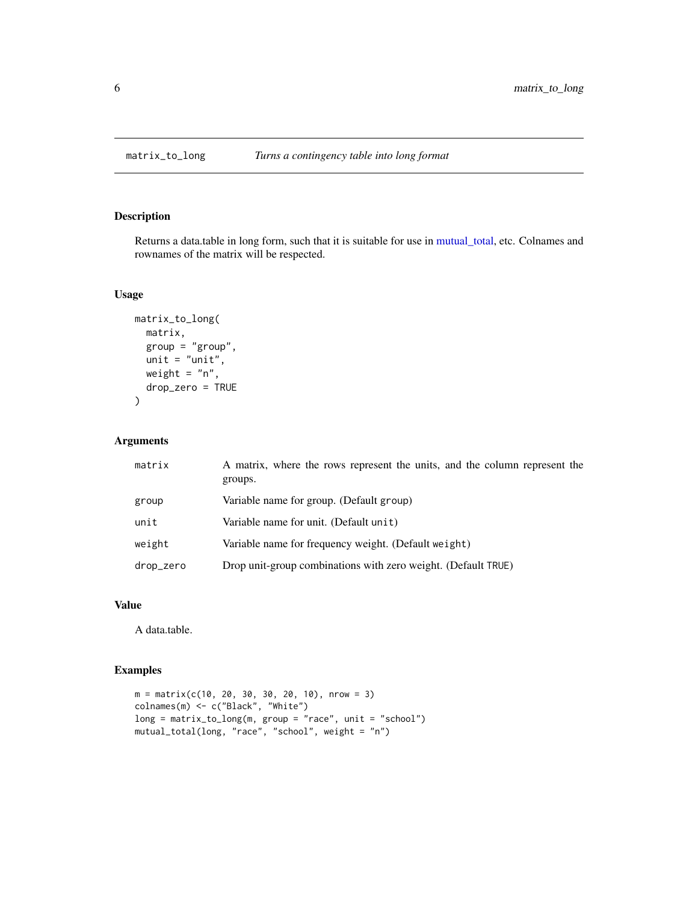<span id="page-5-0"></span>

# Description

Returns a data.table in long form, such that it is suitable for use in [mutual\\_total,](#page-11-1) etc. Colnames and rownames of the matrix will be respected.

# Usage

```
matrix_to_long(
  matrix,
  group = "group",
  unit = "unit",
  weight = "n",drop_zero = TRUE
\mathcal{L}
```
# Arguments

| matrix    | A matrix, where the rows represent the units, and the column represent the<br>groups. |  |
|-----------|---------------------------------------------------------------------------------------|--|
| group     | Variable name for group. (Default group)                                              |  |
| unit      | Variable name for unit. (Default unit)                                                |  |
| weight    | Variable name for frequency weight. (Default weight)                                  |  |
| drop_zero | Drop unit-group combinations with zero weight. (Default TRUE)                         |  |

# Value

A data.table.

```
m = matrix(c(10, 20, 30, 30, 20, 10), nrow = 3)colnames(m) <- c("Black", "White")
long = matrix_to_long(m, group = "race", unit = "school")
mutual_total(long, "race", "school", weight = "n")
```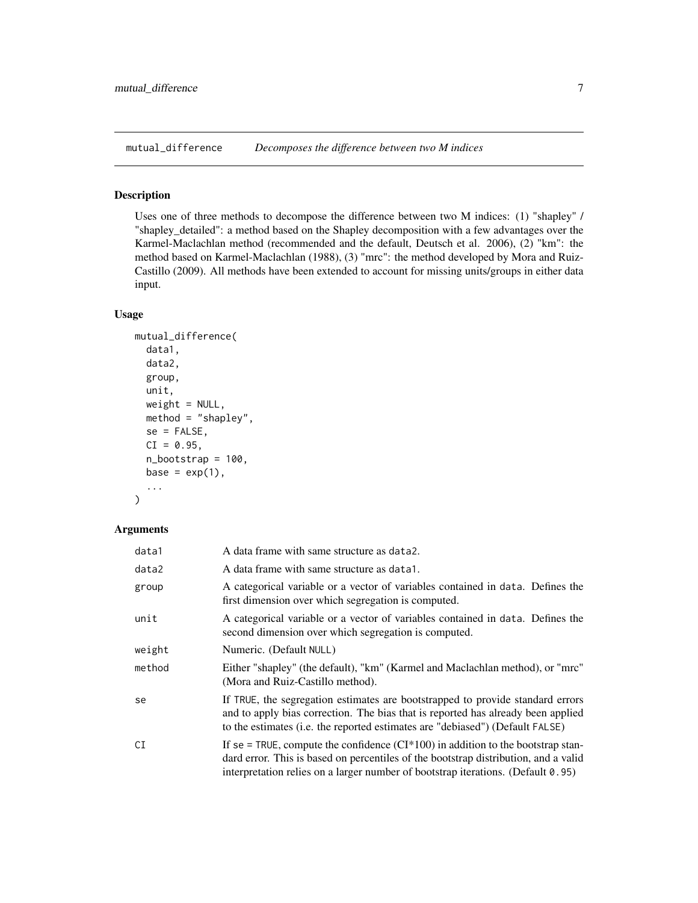<span id="page-6-0"></span>mutual\_difference *Decomposes the difference between two M indices*

# Description

Uses one of three methods to decompose the difference between two M indices: (1) "shapley" / "shapley\_detailed": a method based on the Shapley decomposition with a few advantages over the Karmel-Maclachlan method (recommended and the default, Deutsch et al. 2006), (2) "km": the method based on Karmel-Maclachlan (1988), (3) "mrc": the method developed by Mora and Ruiz-Castillo (2009). All methods have been extended to account for missing units/groups in either data input.

# Usage

```
mutual_difference(
  data1,
  data2,
  group,
  unit,
  weight = NULL,method = "shapley",
  se = FALSE,
  CI = 0.95,n_bootstrap = 100,
  base = exp(1),
  ...
)
```

| data1  | A data frame with same structure as data2.                                                                                                                                                                                                                        |  |
|--------|-------------------------------------------------------------------------------------------------------------------------------------------------------------------------------------------------------------------------------------------------------------------|--|
| data2  | A data frame with same structure as data1.                                                                                                                                                                                                                        |  |
| group  | A categorical variable or a vector of variables contained in data. Defines the<br>first dimension over which segregation is computed.                                                                                                                             |  |
| unit   | A categorical variable or a vector of variables contained in data. Defines the<br>second dimension over which segregation is computed.                                                                                                                            |  |
| weight | Numeric. (Default NULL)                                                                                                                                                                                                                                           |  |
| method | Either "shapley" (the default), "km" (Karmel and Maclachlan method), or "mrc"<br>(Mora and Ruiz-Castillo method).                                                                                                                                                 |  |
| se     | If TRUE, the segregation estimates are bootstrapped to provide standard errors<br>and to apply bias correction. The bias that is reported has already been applied<br>to the estimates (i.e. the reported estimates are "debiased") (Default FALSE)               |  |
| CI     | If se = TRUE, compute the confidence $(CI^*100)$ in addition to the bootstrap stan-<br>dard error. This is based on percentiles of the bootstrap distribution, and a valid<br>interpretation relies on a larger number of bootstrap iterations. (Default $0.95$ ) |  |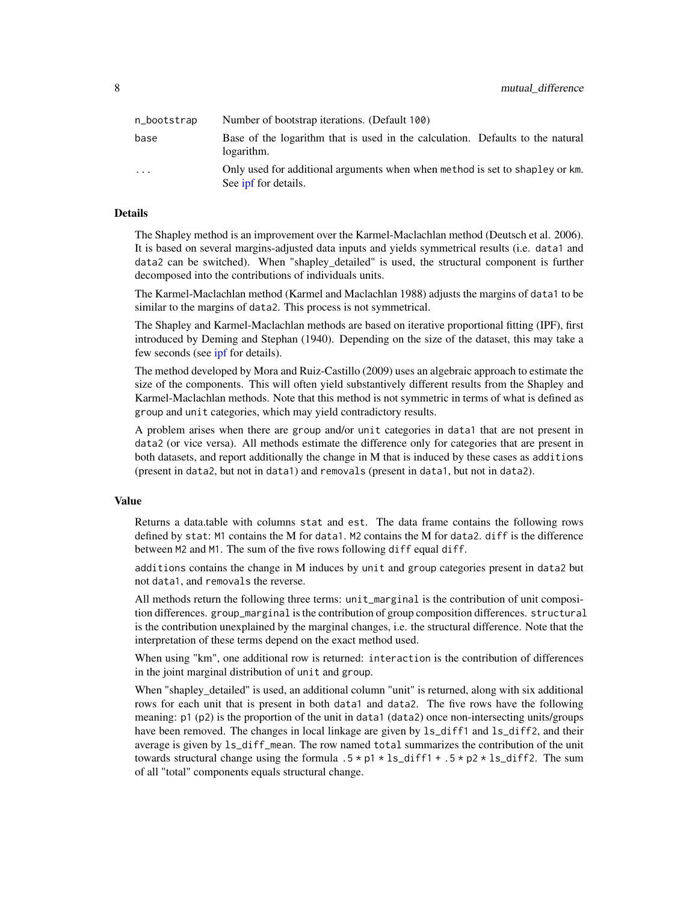<span id="page-7-0"></span>

| n_bootstrap | Number of bootstrap iterations. (Default 100)                                                        |
|-------------|------------------------------------------------------------------------------------------------------|
| base        | Base of the logarithm that is used in the calculation. Defaults to the natural<br>logarithm.         |
| .           | Only used for additional arguments when when method is set to shapley or km.<br>See ipf for details. |

# Details

The Shapley method is an improvement over the Karmel-Maclachlan method (Deutsch et al. 2006). It is based on several margins-adjusted data inputs and yields symmetrical results (i.e. data1 and data2 can be switched). When "shapley\_detailed" is used, the structural component is further decomposed into the contributions of individuals units.

The Karmel-Maclachlan method (Karmel and Maclachlan 1988) adjusts the margins of data1 to be similar to the margins of data2. This process is not symmetrical.

The Shapley and Karmel-Maclachlan methods are based on iterative proportional fitting (IPF), first introduced by Deming and Stephan (1940). Depending on the size of the dataset, this may take a few seconds (see [ipf](#page-3-1) for details).

The method developed by Mora and Ruiz-Castillo (2009) uses an algebraic approach to estimate the size of the components. This will often yield substantively different results from the Shapley and Karmel-Maclachlan methods. Note that this method is not symmetric in terms of what is defined as group and unit categories, which may yield contradictory results.

A problem arises when there are group and/or unit categories in data1 that are not present in data2 (or vice versa). All methods estimate the difference only for categories that are present in both datasets, and report additionally the change in M that is induced by these cases as additions (present in data2, but not in data1) and removals (present in data1, but not in data2).

# Value

Returns a data.table with columns stat and est. The data frame contains the following rows defined by stat: M1 contains the M for data1. M2 contains the M for data2. diff is the difference between M2 and M1. The sum of the five rows following diff equal diff.

additions contains the change in M induces by unit and group categories present in data2 but not data1, and removals the reverse.

All methods return the following three terms: unit\_marginal is the contribution of unit composition differences. group\_marginal is the contribution of group composition differences. structural is the contribution unexplained by the marginal changes, i.e. the structural difference. Note that the interpretation of these terms depend on the exact method used.

When using "km", one additional row is returned: interaction is the contribution of differences in the joint marginal distribution of unit and group.

When "shapley\_detailed" is used, an additional column "unit" is returned, along with six additional rows for each unit that is present in both data1 and data2. The five rows have the following meaning: p1 (p2) is the proportion of the unit in data1 (data2) once non-intersecting units/groups have been removed. The changes in local linkage are given by 1s\_diff1 and 1s\_diff2, and their average is given by ls\_diff\_mean. The row named total summarizes the contribution of the unit towards structural change using the formula  $.5 \times p1 \times ls\_diff1 + .5 \times p2 \times ls\_diff2$ . The sum of all "total" components equals structural change.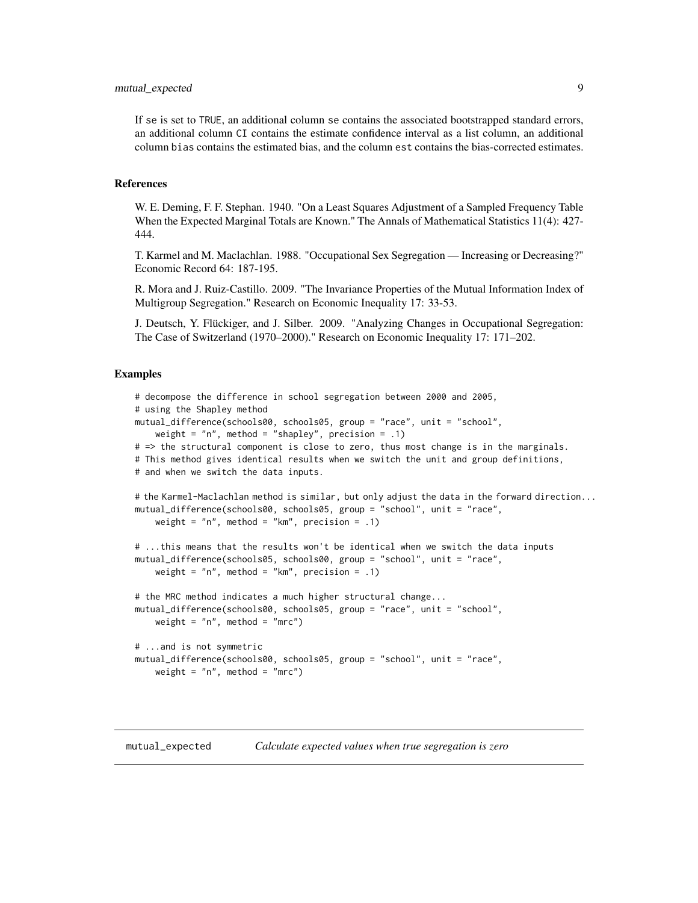<span id="page-8-0"></span>If se is set to TRUE, an additional column se contains the associated bootstrapped standard errors, an additional column CI contains the estimate confidence interval as a list column, an additional column bias contains the estimated bias, and the column est contains the bias-corrected estimates.

#### References

W. E. Deming, F. F. Stephan. 1940. "On a Least Squares Adjustment of a Sampled Frequency Table When the Expected Marginal Totals are Known." The Annals of Mathematical Statistics 11(4): 427- 444.

T. Karmel and M. Maclachlan. 1988. "Occupational Sex Segregation — Increasing or Decreasing?" Economic Record 64: 187-195.

R. Mora and J. Ruiz-Castillo. 2009. "The Invariance Properties of the Mutual Information Index of Multigroup Segregation." Research on Economic Inequality 17: 33-53.

J. Deutsch, Y. Flückiger, and J. Silber. 2009. "Analyzing Changes in Occupational Segregation: The Case of Switzerland (1970–2000)." Research on Economic Inequality 17: 171–202.

# Examples

```
# decompose the difference in school segregation between 2000 and 2005,
# using the Shapley method
mutual_difference(schools00, schools05, group = "race", unit = "school",
    weight = nn, method = "shapley", precision = .1)
# => the structural component is close to zero, thus most change is in the marginals.
# This method gives identical results when we switch the unit and group definitions,
# and when we switch the data inputs.
# the Karmel-Maclachlan method is similar, but only adjust the data in the forward direction...
mutual_difference(schools00, schools05, group = "school", unit = "race",
    weight = n", method = "km", precision = .1)
# ...this means that the results won't be identical when we switch the data inputs
mutual_difference(schools05, schools00, group = "school", unit = "race",
    weight = nn, method = "km, precision = .1)
# the MRC method indicates a much higher structural change...
mutual_difference(schools00, schools05, group = "race", unit = "school",
    weight = "n", method = "mrc")
# ...and is not symmetric
mutual_difference(schools00, schools05, group = "school", unit = "race",
    weight = "n", method = "mrc")
```
mutual\_expected *Calculate expected values when true segregation is zero*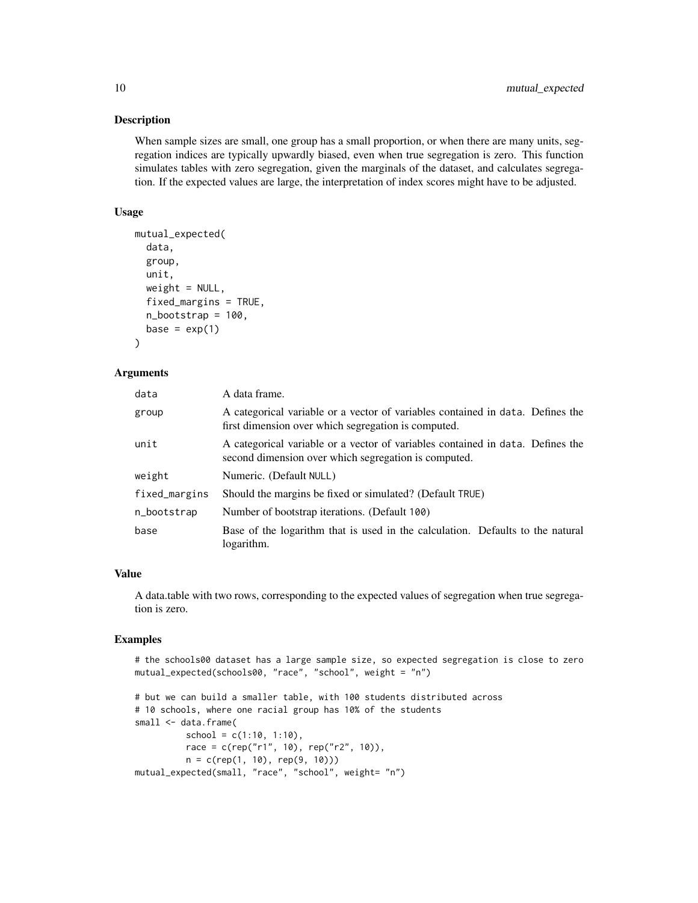# Description

When sample sizes are small, one group has a small proportion, or when there are many units, segregation indices are typically upwardly biased, even when true segregation is zero. This function simulates tables with zero segregation, given the marginals of the dataset, and calculates segregation. If the expected values are large, the interpretation of index scores might have to be adjusted.

# Usage

```
mutual_expected(
  data,
  group,
 unit,
 weight = NULL,fixed_margins = TRUE,
 n_bootstrap = 100,
 base = exp(1))
```
# **Arguments**

| data          | A data frame.                                                                                                                          |  |
|---------------|----------------------------------------------------------------------------------------------------------------------------------------|--|
| group         | A categorical variable or a vector of variables contained in data. Defines the<br>first dimension over which segregation is computed.  |  |
| unit          | A categorical variable or a vector of variables contained in data. Defines the<br>second dimension over which segregation is computed. |  |
| weight        | Numeric. (Default NULL)                                                                                                                |  |
| fixed_margins | Should the margins be fixed or simulated? (Default TRUE)                                                                               |  |
| n_bootstrap   | Number of bootstrap iterations. (Default 100)                                                                                          |  |
| base          | Base of the logarithm that is used in the calculation. Defaults to the natural<br>logarithm.                                           |  |

#### Value

A data.table with two rows, corresponding to the expected values of segregation when true segregation is zero.

```
# the schools00 dataset has a large sample size, so expected segregation is close to zero
mutual_expected(schools00, "race", "school", weight = "n")
# but we can build a smaller table, with 100 students distributed across
# 10 schools, where one racial group has 10% of the students
small <- data.frame(
         school = c(1:10, 1:10),
         race = c(rep("r1", 10), rep("r2", 10)),
         n = c(rep(1, 10), rep(9, 10)))
mutual_expected(small, "race", "school", weight= "n")
```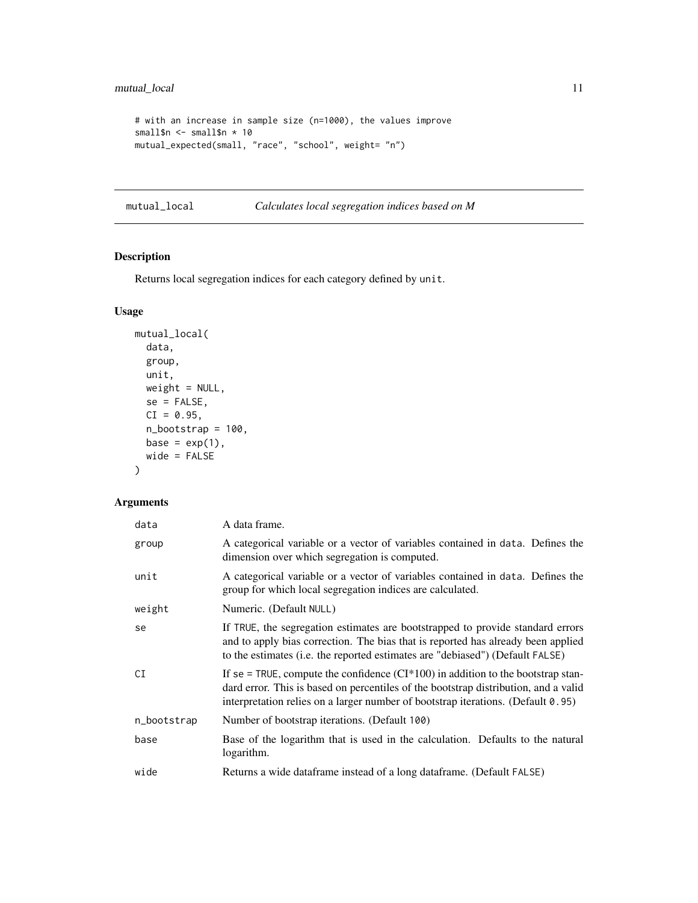```
# with an increase in sample size (n=1000), the values improve
small$n <- small$n * 10
mutual_expected(small, "race", "school", weight= "n")
```
mutual\_local *Calculates local segregation indices based on M*

# Description

Returns local segregation indices for each category defined by unit.

# Usage

```
mutual_local(
 data,
 group,
 unit,
 weight = NULL,se = FALSE,CI = 0.95,n_bootstrap = 100,
 base = exp(1),
 wide = FALSE
)
```

| data        | A data frame.                                                                                                                                                                                                                                                     |  |
|-------------|-------------------------------------------------------------------------------------------------------------------------------------------------------------------------------------------------------------------------------------------------------------------|--|
| group       | A categorical variable or a vector of variables contained in data. Defines the<br>dimension over which segregation is computed.                                                                                                                                   |  |
| unit        | A categorical variable or a vector of variables contained in data. Defines the<br>group for which local segregation indices are calculated.                                                                                                                       |  |
| weight      | Numeric. (Default NULL)                                                                                                                                                                                                                                           |  |
| se          | If TRUE, the segregation estimates are bootstrapped to provide standard errors<br>and to apply bias correction. The bias that is reported has already been applied<br>to the estimates (i.e. the reported estimates are "debiased") (Default FALSE)               |  |
| СI          | If se = TRUE, compute the confidence $(CI^*100)$ in addition to the bootstrap stan-<br>dard error. This is based on percentiles of the bootstrap distribution, and a valid<br>interpretation relies on a larger number of bootstrap iterations. (Default $0.95$ ) |  |
| n_bootstrap | Number of bootstrap iterations. (Default 100)                                                                                                                                                                                                                     |  |
| base        | Base of the logarithm that is used in the calculation. Defaults to the natural<br>logarithm.                                                                                                                                                                      |  |
| wide        | Returns a wide dataframe instead of a long dataframe. (Default FALSE)                                                                                                                                                                                             |  |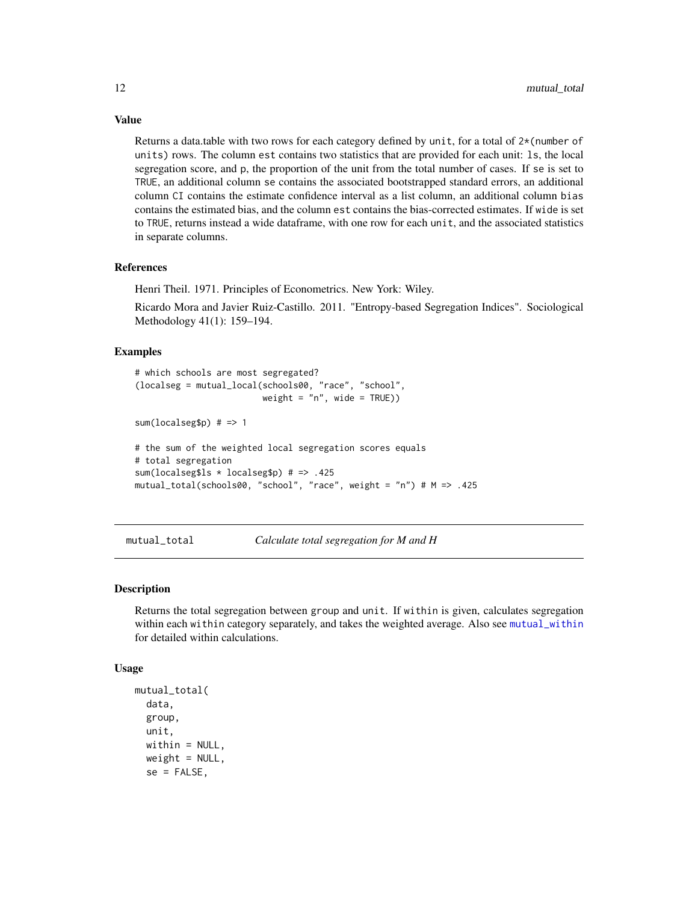Returns a data.table with two rows for each category defined by unit, for a total of 2\*(number of units) rows. The column est contains two statistics that are provided for each unit: ls, the local segregation score, and p, the proportion of the unit from the total number of cases. If se is set to TRUE, an additional column se contains the associated bootstrapped standard errors, an additional column CI contains the estimate confidence interval as a list column, an additional column bias contains the estimated bias, and the column est contains the bias-corrected estimates. If wide is set to TRUE, returns instead a wide dataframe, with one row for each unit, and the associated statistics in separate columns.

#### References

Henri Theil. 1971. Principles of Econometrics. New York: Wiley.

Ricardo Mora and Javier Ruiz-Castillo. 2011. "Entropy-based Segregation Indices". Sociological Methodology 41(1): 159–194.

## Examples

```
# which schools are most segregated?
(localseg = mutual_local(schools00, "race", "school",
                        weight = "n", wide = TRUE))
sum(localseg$p) # => 1
# the sum of the weighted local segregation scores equals
# total segregation
sum(localseg$ls * localseg$p) # => .425
mutual_total(schools00, "school", "race", weight = "n") # M => .425
```
<span id="page-11-1"></span>mutual\_total *Calculate total segregation for M and H*

#### Description

Returns the total segregation between group and unit. If within is given, calculates segregation within each within category separately, and takes the weighted average. Also see [mutual\\_within](#page-13-1) for detailed within calculations.

#### Usage

```
mutual_total(
  data,
  group,
 unit,
 within = NULL,weight = NULL,se = FALSE,
```
<span id="page-11-0"></span>

# Value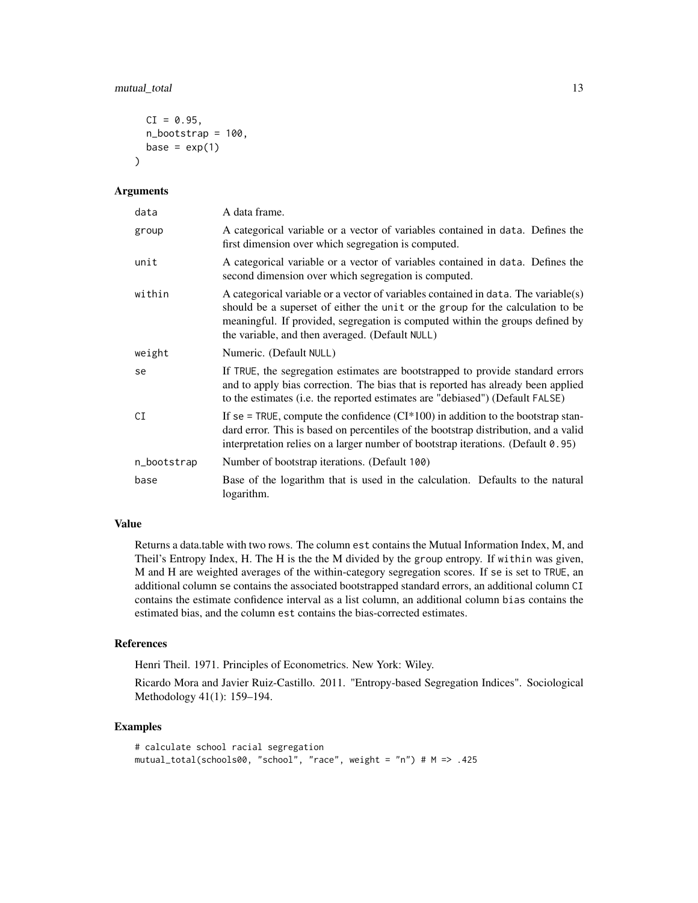# mutual\_total 13

```
CI = 0.95,
  n_bootstrap = 100,
 base = exp(1)\lambda
```
## Arguments

| data        | A data frame.                                                                                                                                                                                                                                                                                            |  |
|-------------|----------------------------------------------------------------------------------------------------------------------------------------------------------------------------------------------------------------------------------------------------------------------------------------------------------|--|
| group       | A categorical variable or a vector of variables contained in data. Defines the<br>first dimension over which segregation is computed.                                                                                                                                                                    |  |
| unit        | A categorical variable or a vector of variables contained in data. Defines the<br>second dimension over which segregation is computed.                                                                                                                                                                   |  |
| within      | A categorical variable or a vector of variables contained in data. The variable(s)<br>should be a superset of either the unit or the group for the calculation to be<br>meaningful. If provided, segregation is computed within the groups defined by<br>the variable, and then averaged. (Default NULL) |  |
| weight      | Numeric. (Default NULL)                                                                                                                                                                                                                                                                                  |  |
| se          | If TRUE, the segregation estimates are bootstrapped to provide standard errors<br>and to apply bias correction. The bias that is reported has already been applied<br>to the estimates (i.e. the reported estimates are "debiased") (Default FALSE)                                                      |  |
| CI          | If se = TRUE, compute the confidence $(CI^*100)$ in addition to the bootstrap stan-<br>dard error. This is based on percentiles of the bootstrap distribution, and a valid<br>interpretation relies on a larger number of bootstrap iterations. (Default 0.95)                                           |  |
| n_bootstrap | Number of bootstrap iterations. (Default 100)                                                                                                                                                                                                                                                            |  |
| base        | Base of the logarithm that is used in the calculation. Defaults to the natural<br>logarithm.                                                                                                                                                                                                             |  |

#### Value

Returns a data.table with two rows. The column est contains the Mutual Information Index, M, and Theil's Entropy Index, H. The H is the the M divided by the group entropy. If within was given, M and H are weighted averages of the within-category segregation scores. If se is set to TRUE, an additional column se contains the associated bootstrapped standard errors, an additional column CI contains the estimate confidence interval as a list column, an additional column bias contains the estimated bias, and the column est contains the bias-corrected estimates.

#### References

Henri Theil. 1971. Principles of Econometrics. New York: Wiley.

Ricardo Mora and Javier Ruiz-Castillo. 2011. "Entropy-based Segregation Indices". Sociological Methodology 41(1): 159–194.

```
# calculate school racial segregation
mutual_total(schools00, "school", "race", weight = "n") # M => .425
```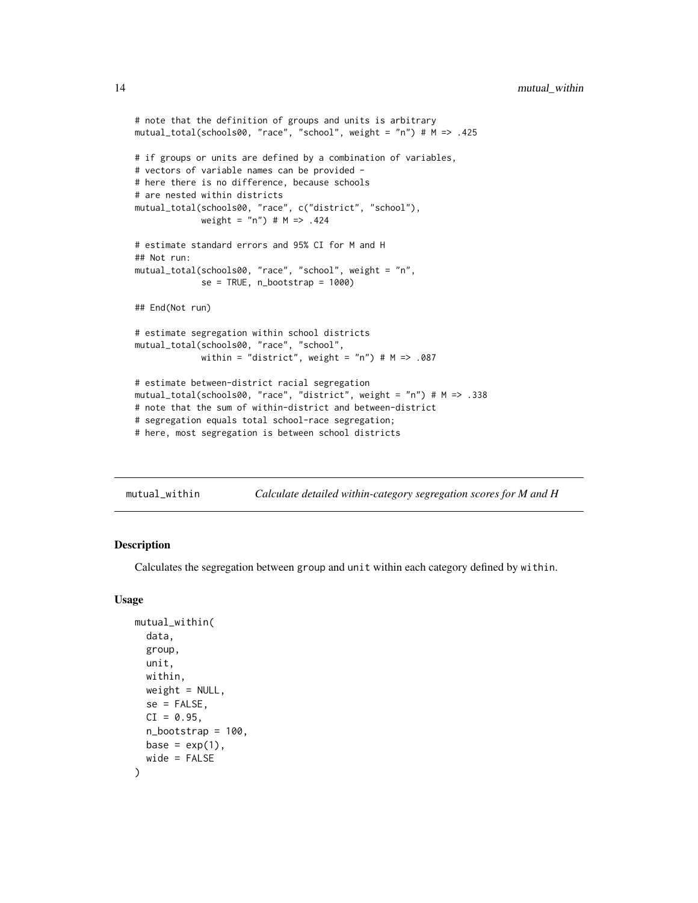```
# note that the definition of groups and units is arbitrary
mutual_total(schools00, "race", "school", weight = "n") # M => .425
# if groups or units are defined by a combination of variables,
# vectors of variable names can be provided -
# here there is no difference, because schools
# are nested within districts
mutual_total(schools00, "race", c("district", "school"),
             weight = "n") # M => .424
# estimate standard errors and 95% CI for M and H
## Not run:
mutual_total(schools00, "race", "school", weight = "n",
             se = TRUE, n\_bootstrap = 1000## End(Not run)
# estimate segregation within school districts
mutual_total(schools00, "race", "school",
             within = "district", weight = "n") # M \Rightarrow .087# estimate between-district racial segregation
mutual_total(schools00, "race", "district", weight = "n") # M => .338
# note that the sum of within-district and between-district
# segregation equals total school-race segregation;
# here, most segregation is between school districts
```
<span id="page-13-1"></span>

| mutual_within | Calculate detailed within-category segregation scores for M and H |  |
|---------------|-------------------------------------------------------------------|--|
|---------------|-------------------------------------------------------------------|--|

# Description

Calculates the segregation between group and unit within each category defined by within.

#### Usage

```
mutual_within(
  data,
  group,
 unit,
  within,
 weight = NULL,se = FALSE,
 CI = 0.95,
  n\_bootstrap = 100,
 base = exp(1),
  wide = FALSE
)
```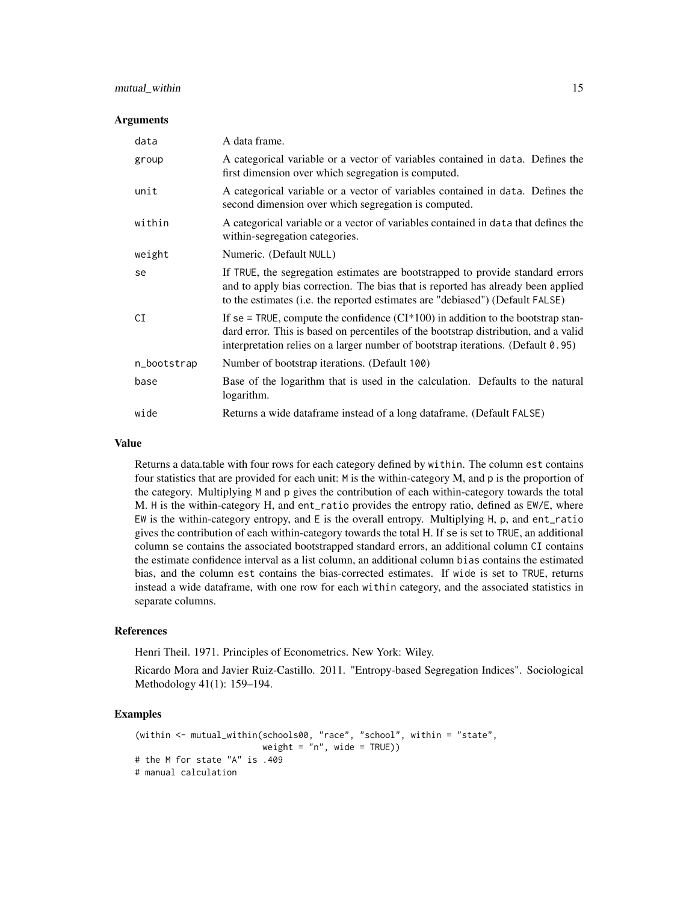# mutual\_within 15

#### **Arguments**

| data        | A data frame.                                                                                                                                                                                                                                                  |
|-------------|----------------------------------------------------------------------------------------------------------------------------------------------------------------------------------------------------------------------------------------------------------------|
| group       | A categorical variable or a vector of variables contained in data. Defines the<br>first dimension over which segregation is computed.                                                                                                                          |
| unit        | A categorical variable or a vector of variables contained in data. Defines the<br>second dimension over which segregation is computed.                                                                                                                         |
| within      | A categorical variable or a vector of variables contained in data that defines the<br>within-segregation categories.                                                                                                                                           |
| weight      | Numeric. (Default NULL)                                                                                                                                                                                                                                        |
| se          | If TRUE, the segregation estimates are bootstrapped to provide standard errors<br>and to apply bias correction. The bias that is reported has already been applied<br>to the estimates (i.e. the reported estimates are "debiased") (Default FALSE)            |
| CI          | If se = TRUE, compute the confidence $(CI^*100)$ in addition to the bootstrap stan-<br>dard error. This is based on percentiles of the bootstrap distribution, and a valid<br>interpretation relies on a larger number of bootstrap iterations. (Default 0.95) |
| n_bootstrap | Number of bootstrap iterations. (Default 100)                                                                                                                                                                                                                  |
| base        | Base of the logarithm that is used in the calculation. Defaults to the natural<br>logarithm.                                                                                                                                                                   |
| wide        | Returns a wide dataframe instead of a long dataframe. (Default FALSE)                                                                                                                                                                                          |

#### Value

Returns a data.table with four rows for each category defined by within. The column est contains four statistics that are provided for each unit: M is the within-category M, and p is the proportion of the category. Multiplying M and p gives the contribution of each within-category towards the total M. H is the within-category H, and ent\_ratio provides the entropy ratio, defined as EW/E, where EW is the within-category entropy, and E is the overall entropy. Multiplying H, p, and ent\_ratio gives the contribution of each within-category towards the total H. If se is set to TRUE, an additional column se contains the associated bootstrapped standard errors, an additional column CI contains the estimate confidence interval as a list column, an additional column bias contains the estimated bias, and the column est contains the bias-corrected estimates. If wide is set to TRUE, returns instead a wide dataframe, with one row for each within category, and the associated statistics in separate columns.

# References

Henri Theil. 1971. Principles of Econometrics. New York: Wiley.

Ricardo Mora and Javier Ruiz-Castillo. 2011. "Entropy-based Segregation Indices". Sociological Methodology 41(1): 159–194.

```
(within <- mutual_within(schools00, "race", "school", within = "state",
                        weight = "n", wide = TRUE))
# the M for state "A" is .409
# manual calculation
```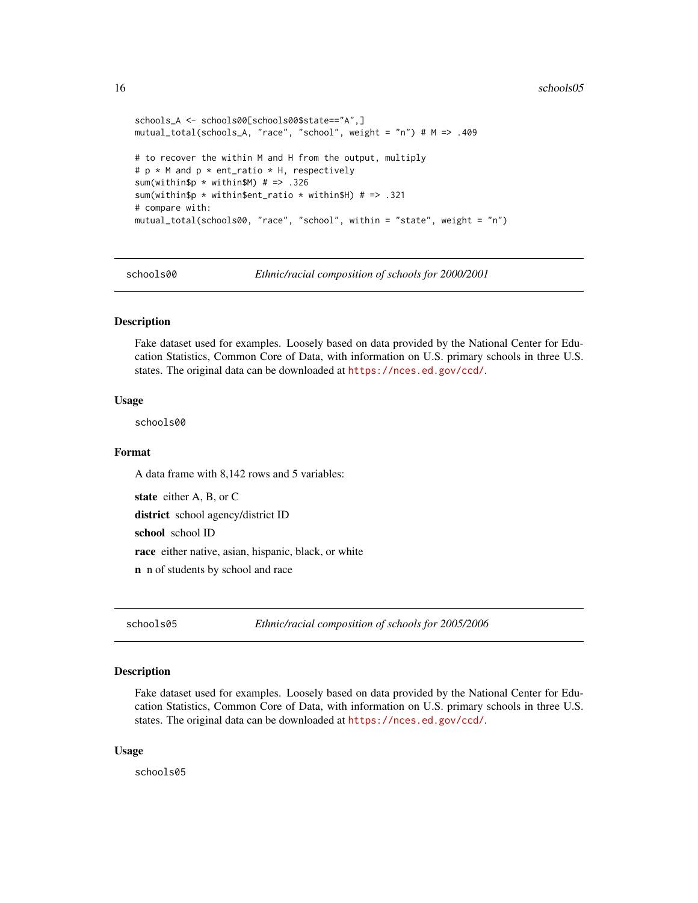#### 16 schools05

```
schools_A <- schools00[schools00$state=="A",]
mutual_total(schools_A, "race", "school", weight = "n") # M => .409
# to recover the within M and H from the output, multiply
# p * M and p * ent_ratio * H, respectively
sum(within$p * within$M) # => .326
sum(within$p * within$ent_ratio * within$H) # => .321
# compare with:
mutual_total(schools00, "race", "school", within = "state", weight = "n")
```
schools00 *Ethnic/racial composition of schools for 2000/2001*

#### Description

Fake dataset used for examples. Loosely based on data provided by the National Center for Education Statistics, Common Core of Data, with information on U.S. primary schools in three U.S. states. The original data can be downloaded at <https://nces.ed.gov/ccd/>.

#### Usage

schools00

#### Format

A data frame with 8,142 rows and 5 variables:

state either A, B, or C

district school agency/district ID

school school ID

race either native, asian, hispanic, black, or white

n n of students by school and race

schools05 *Ethnic/racial composition of schools for 2005/2006*

#### Description

Fake dataset used for examples. Loosely based on data provided by the National Center for Education Statistics, Common Core of Data, with information on U.S. primary schools in three U.S. states. The original data can be downloaded at <https://nces.ed.gov/ccd/>.

#### Usage

schools05

<span id="page-15-0"></span>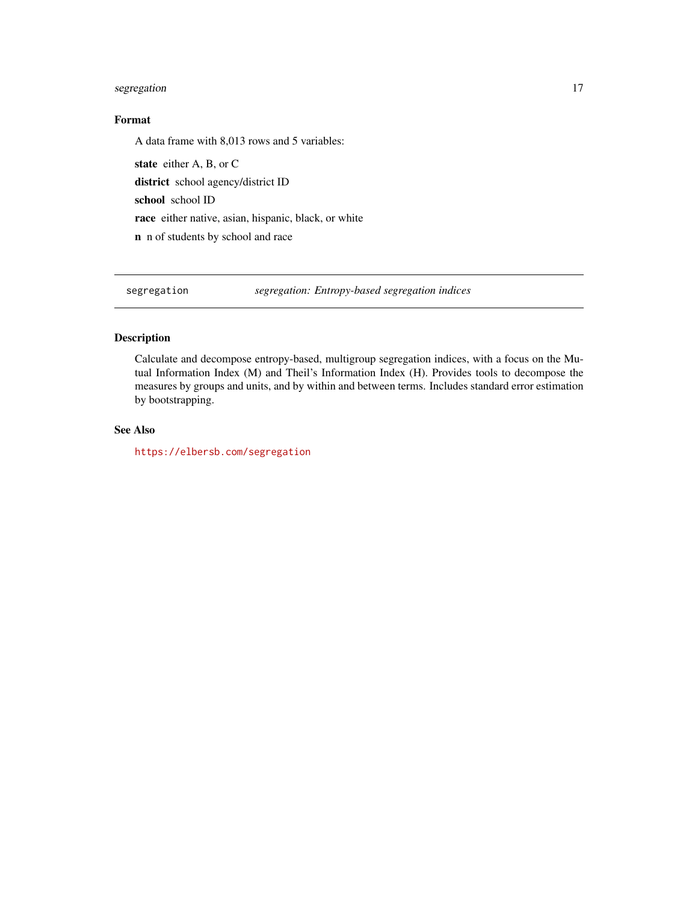# <span id="page-16-0"></span>segregation and the sequence of  $\sim$  17

# Format

A data frame with 8,013 rows and 5 variables:

state either A, B, or C district school agency/district ID school school ID race either native, asian, hispanic, black, or white n n of students by school and race

segregation *segregation: Entropy-based segregation indices*

# Description

Calculate and decompose entropy-based, multigroup segregation indices, with a focus on the Mutual Information Index (M) and Theil's Information Index (H). Provides tools to decompose the measures by groups and units, and by within and between terms. Includes standard error estimation by bootstrapping.

# See Also

<https://elbersb.com/segregation>